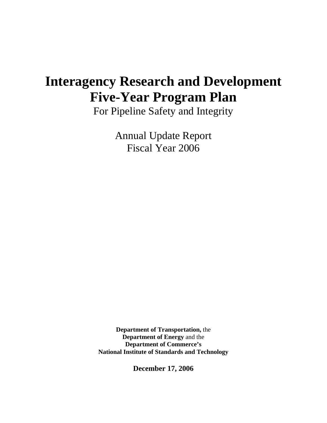# **Interagency Research and Development Five-Year Program Plan**

For Pipeline Safety and Integrity

Annual Update Report Fiscal Year 2006

**Department of Transportation,** the **Department of Energy** and the **Department of Commerce's National Institute of Standards and Technology**

**December 17, 2006**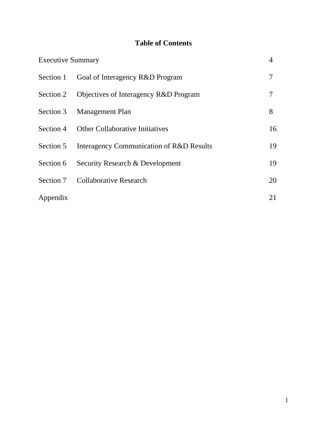# **Table of Contents**

| <b>Executive Summary</b> |                                          | 4  |
|--------------------------|------------------------------------------|----|
| Section 1                | Goal of Interagency R&D Program          | 7  |
| Section 2                | Objectives of Interagency R&D Program    | 7  |
| Section 3                | <b>Management Plan</b>                   | 8  |
| Section 4                | Other Collaborative Initiatives          | 16 |
| Section 5                | Interagency Communication of R&D Results | 19 |
| Section 6                | Security Research & Development          | 19 |
| Section 7                | <b>Collaborative Research</b>            | 20 |
| Appendix                 |                                          | 21 |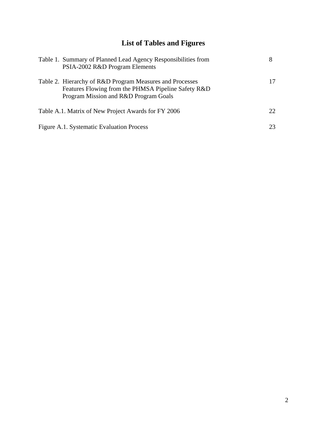# **List of Tables and Figures**

| Table 1. Summary of Planned Lead Agency Responsibilities from<br>PSIA-2002 R&D Program Elements                                                          |     |
|----------------------------------------------------------------------------------------------------------------------------------------------------------|-----|
| Table 2. Hierarchy of R&D Program Measures and Processes<br>Features Flowing from the PHMSA Pipeline Safety R&D<br>Program Mission and R&D Program Goals | 17  |
| Table A.1. Matrix of New Project Awards for FY 2006                                                                                                      | 22. |
| Figure A.1. Systematic Evaluation Process                                                                                                                | 23  |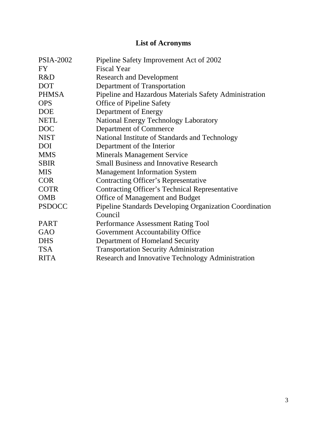# **List of Acronyms**

| <b>PSIA-2002</b> | Pipeline Safety Improvement Act of 2002                        |
|------------------|----------------------------------------------------------------|
| <b>FY</b>        | <b>Fiscal Year</b>                                             |
| R&D              | <b>Research and Development</b>                                |
| <b>DOT</b>       | Department of Transportation                                   |
| <b>PHMSA</b>     | Pipeline and Hazardous Materials Safety Administration         |
| <b>OPS</b>       | <b>Office of Pipeline Safety</b>                               |
| <b>DOE</b>       | Department of Energy                                           |
| <b>NETL</b>      | National Energy Technology Laboratory                          |
| <b>DOC</b>       | <b>Department of Commerce</b>                                  |
| <b>NIST</b>      | National Institute of Standards and Technology                 |
| <b>DOI</b>       | Department of the Interior                                     |
| <b>MMS</b>       | <b>Minerals Management Service</b>                             |
| <b>SBIR</b>      | <b>Small Business and Innovative Research</b>                  |
| <b>MIS</b>       | <b>Management Information System</b>                           |
| <b>COR</b>       | <b>Contracting Officer's Representative</b>                    |
| <b>COTR</b>      | <b>Contracting Officer's Technical Representative</b>          |
| <b>OMB</b>       | Office of Management and Budget                                |
| <b>PSDOCC</b>    | <b>Pipeline Standards Developing Organization Coordination</b> |
|                  | Council                                                        |
| <b>PART</b>      | <b>Performance Assessment Rating Tool</b>                      |
| GAO              | Government Accountability Office                               |
| <b>DHS</b>       | Department of Homeland Security                                |
| <b>TSA</b>       | <b>Transportation Security Administration</b>                  |
| <b>RITA</b>      | Research and Innovative Technology Administration              |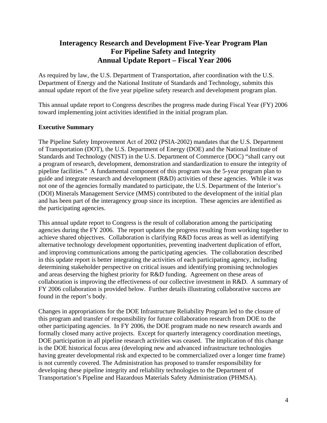# **Interagency Research and Development Five-Year Program Plan For Pipeline Safety and Integrity Annual Update Report – Fiscal Year 2006**

As required by law, the U.S. Department of Transportation, after coordination with the U.S. Department of Energy and the National Institute of Standards and Technology, submits this annual update report of the five year pipeline safety research and development program plan.

This annual update report to Congress describes the progress made during Fiscal Year (FY) 2006 toward implementing joint activities identified in the initial program plan.

# **Executive Summary**

The Pipeline Safety Improvement Act of 2002 (PSIA-2002) mandates that the U.S. Department of Transportation (DOT), the U.S. Department of Energy (DOE) and the National Institute of Standards and Technology (NIST) in the U.S. Department of Commerce (DOC) "shall carry out a program of research, development, demonstration and standardization to ensure the integrity of pipeline facilities." A fundamental component of this program was the 5-year program plan to guide and integrate research and development (R&D) activities of these agencies. While it was not one of the agencies formally mandated to participate, the U.S. Department of the Interior's (DOI) Minerals Management Service (MMS) contributed to the development of the initial plan and has been part of the interagency group since its inception. These agencies are identified as the participating agencies.

This annual update report to Congress is the result of collaboration among the participating agencies during the FY 2006. The report updates the progress resulting from working together to achieve shared objectives. Collaboration is clarifying R&D focus areas as well as identifying alternative technology development opportunities, preventing inadvertent duplication of effort, and improving communications among the participating agencies. The collaboration described in this update report is better integrating the activities of each participating agency, including determining stakeholder perspective on critical issues and identifying promising technologies and areas deserving the highest priority for R&D funding. Agreement on these areas of collaboration is improving the effectiveness of our collective investment in R&D. A summary of FY 2006 collaboration is provided below. Further details illustrating collaborative success are found in the report's body.

Changes in appropriations for the DOE Infrastructure Reliability Program led to the closure of this program and transfer of responsibility for future collaboration research from DOE to the other participating agencies. In FY 2006, the DOE program made no new research awards and formally closed many active projects. Except for quarterly interagency coordination meetings, DOE participation in all pipeline research activities was ceased. The implication of this change is the DOE historical focus area (developing new and advanced infrastructure technologies having greater developmental risk and expected to be commercialized over a longer time frame) is not currently covered. The Administration has proposed to transfer responsibility for developing these pipeline integrity and reliability technologies to the Department of Transportation's Pipeline and Hazardous Materials Safety Administration (PHMSA).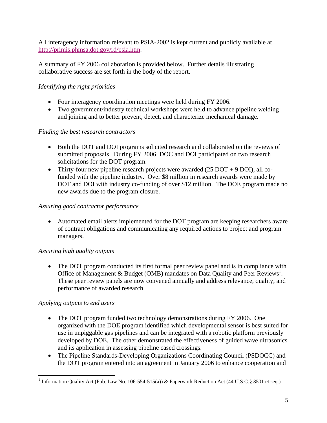All interagency information relevant to PSIA-2002 is kept current and publicly available at http://primis.phmsa.dot.gov/rd/psia.htm.

A summary of FY 2006 collaboration is provided below. Further details illustrating collaborative success are set forth in the body of the report.

# *Identifying the right priorities*

- Four interagency coordination meetings were held during FY 2006.
- Two government/industry technical workshops were held to advance pipeline welding and joining and to better prevent, detect, and characterize mechanical damage.

# *Finding the best research contractors*

- Both the DOT and DOI programs solicited research and collaborated on the reviews of submitted proposals. During FY 2006, DOC and DOI participated on two research solicitations for the DOT program.
- Thirty-four new pipeline research projects were awarded  $(25$  DOT + 9 DOI), all cofunded with the pipeline industry. Over \$8 million in research awards were made by DOT and DOI with industry co-funding of over \$12 million. The DOE program made no new awards due to the program closure.

# *Assuring good contractor performance*

• Automated email alerts implemented for the DOT program are keeping researchers aware of contract obligations and communicating any required actions to project and program managers.

# *Assuring high quality outputs*

• The DOT program conducted its first formal peer review panel and is in compliance with Office of Management & Budget (OMB) mandates on Data Quality and Peer Reviews<sup>1</sup>. These peer review panels are now convened annually and address relevance, quality, and performance of awarded research.

# *Applying outputs to end users*

- The DOT program funded two technology demonstrations during FY 2006. One organized with the DOE program identified which developmental sensor is best suited for use in unpiggable gas pipelines and can be integrated with a robotic platform previously developed by DOE. The other demonstrated the effectiveness of guided wave ultrasonics and its application in assessing pipeline cased crossings.
- The Pipeline Standards-Developing Organizations Coordinating Council (PSDOCC) and the DOT program entered into an agreement in January 2006 to enhance cooperation and

<sup>&</sup>lt;u>.</u> <sup>1</sup> Information Quality Act (Pub. Law No. 106-554-515(a)) & Paperwork Reduction Act (44 U.S.C.§ 3501 et seq.)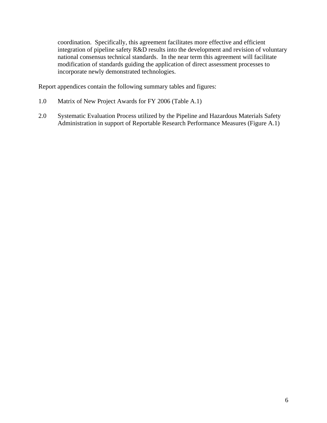coordination. Specifically, this agreement facilitates more effective and efficient integration of pipeline safety R&D results into the development and revision of voluntary national consensus technical standards. In the near term this agreement will facilitate modification of standards guiding the application of direct assessment processes to incorporate newly demonstrated technologies.

Report appendices contain the following summary tables and figures:

- 1.0 Matrix of New Project Awards for FY 2006 (Table A.1)
- 2.0 Systematic Evaluation Process utilized by the Pipeline and Hazardous Materials Safety Administration in support of Reportable Research Performance Measures (Figure A.1)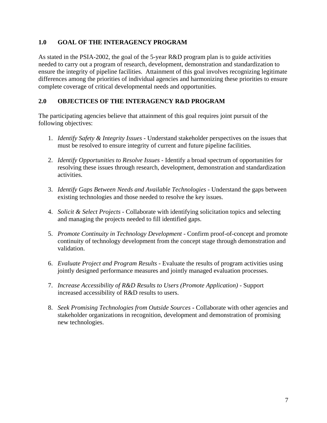# **1.0 GOAL OF THE INTERAGENCY PROGRAM**

As stated in the PSIA-2002, the goal of the 5-year R&D program plan is to guide activities needed to carry out a program of research, development, demonstration and standardization to ensure the integrity of pipeline facilities. Attainment of this goal involves recognizing legitimate differences among the priorities of individual agencies and harmonizing these priorities to ensure complete coverage of critical developmental needs and opportunities.

# **2.0 OBJECTICES OF THE INTERAGENCY R&D PROGRAM**

The participating agencies believe that attainment of this goal requires joint pursuit of the following objectives:

- 1. *Identify Safety & Integrity Issues* Understand stakeholder perspectives on the issues that must be resolved to ensure integrity of current and future pipeline facilities.
- 2. *Identify Opportunities to Resolve Issues* Identify a broad spectrum of opportunities for resolving these issues through research, development, demonstration and standardization activities.
- 3. *Identify Gaps Between Needs and Available Technologies* Understand the gaps between existing technologies and those needed to resolve the key issues.
- 4. *Solicit & Select Projects* Collaborate with identifying solicitation topics and selecting and managing the projects needed to fill identified gaps.
- 5. *Promote Continuity in Technology Development* Confirm proof-of-concept and promote continuity of technology development from the concept stage through demonstration and validation.
- 6. *Evaluate Project and Program Results* Evaluate the results of program activities using jointly designed performance measures and jointly managed evaluation processes.
- 7. *Increase Accessibility of R&D Results to Users (Promote Application)* Support increased accessibility of R&D results to users.
- 8. *Seek Promising Technologies from Outside Sources*Collaborate with other agencies and stakeholder organizations in recognition, development and demonstration of promising new technologies.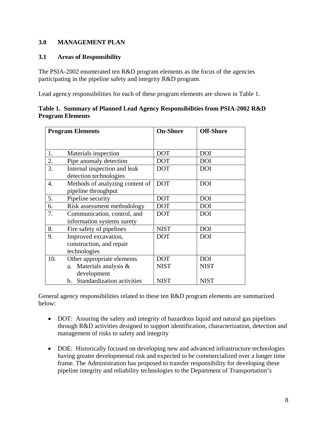# **3.0 MANAGEMENT PLAN**

# **3.1 Areas of Responsibility**

The PSIA-2002 enumerated ten R&D program elements as the focus of the agencies participating in the pipeline safety and integrity R&D program.

Lead agency responsibilities for each of these program elements are shown in Table 1.

|                         | Table 1. Summary of Planned Lead Agency Responsibilities from PSIA-2002 R&D |  |
|-------------------------|-----------------------------------------------------------------------------|--|
| <b>Program Elements</b> |                                                                             |  |

| <b>Program Elements</b> |                                                                  | <b>On-Shore</b> | <b>Off-Shore</b> |
|-------------------------|------------------------------------------------------------------|-----------------|------------------|
|                         |                                                                  |                 |                  |
| 1.                      | Materials inspection                                             | <b>DOT</b>      | <b>DOI</b>       |
| 2.                      | Pipe anomaly detection                                           | <b>DOT</b>      | <b>DOI</b>       |
| 3.                      | Internal inspection and leak<br>detection technologies           | <b>DOT</b>      | <b>DOI</b>       |
| $\overline{4}$ .        | Methods of analyzing content of<br>pipeline throughput           | <b>DOT</b>      | <b>DOI</b>       |
| 5.                      | Pipeline security                                                | <b>DOT</b>      | <b>DOI</b>       |
| 6.                      | Risk assessment methodology                                      | <b>DOT</b>      | <b>DOI</b>       |
| 7.                      | Communication, control, and<br>information systems surety        | <b>DOT</b>      | <b>DOI</b>       |
| 8.                      | Fire safety of pipelines                                         | <b>NIST</b>     | <b>DOI</b>       |
| 9.                      | Improved excavation,<br>construction, and repair<br>technologies | <b>DOT</b>      | <b>DOI</b>       |
| 10.                     | Other appropriate elements                                       | <b>DOT</b>      | <b>DOI</b>       |
|                         | a. Materials analysis &<br>development                           | <b>NIST</b>     | <b>NIST</b>      |
|                         | b. Standardization activities                                    | <b>NIST</b>     | <b>NIST</b>      |

General agency responsibilities related to these ten R&D program elements are summarized below:

- DOT: Assuring the safety and integrity of hazardous liquid and natural gas pipelines through R&D activities designed to support identification, characterization, detection and management of risks to safety and integrity
- DOE: Historically focused on developing new and advanced infrastructure technologies having greater developmental risk and expected to be commercialized over a longer time frame. The Administration has proposed to transfer responsibility for developing these pipeline integrity and reliability technologies to the Department of Transportation's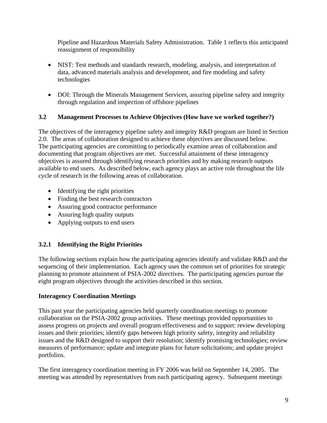Pipeline and Hazardous Materials Safety Administration. Table 1 reflects this anticipated reassignment of responsibility

- NIST: Test methods and standards research, modeling, analysis, and interpretation of data, advanced materials analysis and development, and fire modeling and safety technologies
- DOI: Through the Minerals Management Services, assuring pipeline safety and integrity through regulation and inspection of offshore pipelines

# **3.2 Management Processes to Achieve Objectives (How have we worked together?)**

The objectives of the interagency pipeline safety and integrity R&D program are listed in Section 2.0. The areas of collaboration designed to achieve these objectives are discussed below. The participating agencies are committing to periodically examine areas of collaboration and documenting that program objectives are met. Successful attainment of these interagency objectives is assured through identifying research priorities and by making research outputs available to end users. As described below, each agency plays an active role throughout the life cycle of research in the following areas of collaboration.

- Identifying the right priorities
- Finding the best research contractors
- Assuring good contractor performance
- Assuring high quality outputs
- Applying outputs to end users

# **3.2.1 Identifying the Right Priorities**

The following sections explain how the participating agencies identify and validate R&D and the sequencing of their implementation. Each agency uses the common set of priorities for strategic planning to promote attainment of PSIA-2002 directives. The participating agencies pursue the eight program objectives through the activities described in this section.

# **Interagency Coordination Meetings**

This past year the participating agencies held quarterly coordination meetings to promote collaboration on the PSIA-2002 group activities. These meetings provided opportunities to assess progress on projects and overall program effectiveness and to support: review developing issues and their priorities; identify gaps between high priority safety, integrity and reliability issues and the R&D designed to support their resolution; identify promising technologies; review measures of performance; update and integrate plans for future solicitations; and update project portfolios.

The first interagency coordination meeting in FY 2006 was held on September 14, 2005. The meeting was attended by representatives from each participating agency. Subsequent meetings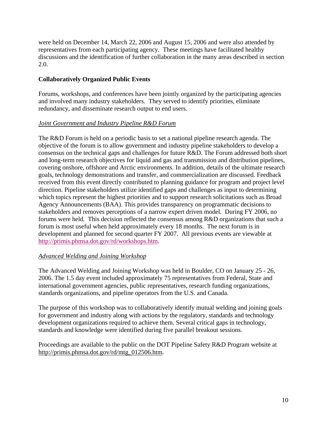were held on December 14, March 22, 2006 and August 15, 2006 and were also attended by representatives from each participating agency. These meetings have facilitated healthy discussions and the identification of further collaboration in the many areas described in section 2.0.

# **Collaboratively Organized Public Events**

Forums, workshops, and conferences have been jointly organized by the participating agencies and involved many industry stakeholders. They served to identify priorities, eliminate redundancy, and disseminate research output to end users.

# *Joint Government and Industry Pipeline R&D Forum*

The R&D Forum is held on a periodic basis to set a national pipeline research agenda. The objective of the forum is to allow government and industry pipeline stakeholders to develop a consensus on the technical gaps and challenges for future R&D. The Forum addressed both short and long-term research objectives for liquid and gas and transmission and distribution pipelines, covering onshore, offshore and Arctic environments. In addition, details of the ultimate research goals, technology demonstrations and transfer, and commercialization are discussed. Feedback received from this event directly contributed to planning guidance for program and project level direction. Pipeline stakeholders utilize identified gaps and challenges as input to determining which topics represent the highest priorities and to support research solicitations such as Broad Agency Announcements (BAA). This provides transparency on programmatic decisions to stakeholders and removes perceptions of a narrow expert driven model. During FY 2006, no forums were held. This decision reflected the consensus among R&D organizations that such a forum is most useful when held approximately every 18 months. The next forum is in development and planned for second quarter FY 2007. All previous events are viewable at http://primis.phmsa.dot.gov/rd/workshops.htm.

# *Advanced Welding and Joining Workshop*

The Advanced Welding and Joining Workshop was held in Boulder, CO on January 25 - 26, 2006. The 1.5 day event included approximately 75 representatives from Federal, State and international government agencies, public representatives, research funding organizations, standards organizations, and pipeline operators from the U.S. and Canada.

The purpose of this workshop was to collaboratively identify mutual welding and joining goals for government and industry along with actions by the regulatory, standards and technology development organizations required to achieve them. Several critical gaps in technology, standards and knowledge were identified during five parallel breakout sessions.

Proceedings are available to the public on the DOT Pipeline Safety R&D Program website at http://primis.phmsa.dot.gov/rd/mtg\_012506.htm.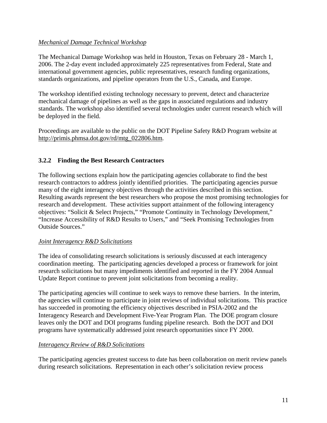# *Mechanical Damage Technical Workshop*

The Mechanical Damage Workshop was held in Houston, Texas on February 28 - March 1, 2006. The 2-day event included approximately 225 representatives from Federal, State and international government agencies, public representatives, research funding organizations, standards organizations, and pipeline operators from the U.S., Canada, and Europe.

The workshop identified existing technology necessary to prevent, detect and characterize mechanical damage of pipelines as well as the gaps in associated regulations and industry standards. The workshop also identified several technologies under current research which will be deployed in the field.

Proceedings are available to the public on the DOT Pipeline Safety R&D Program website at http://primis.phmsa.dot.gov/rd/mtg\_022806.htm.

# **3.2.2 Finding the Best Research Contractors**

The following sections explain how the participating agencies collaborate to find the best research contractors to address jointly identified priorities. The participating agencies pursue many of the eight interagency objectives through the activities described in this section. Resulting awards represent the best researchers who propose the most promising technologies for research and development. These activities support attainment of the following interagency objectives: "Solicit & Select Projects," "Promote Continuity in Technology Development," "Increase Accessibility of R&D Results to Users," and "Seek Promising Technologies from Outside Sources."

# *Joint Interagency R&D Solicitations*

The idea of consolidating research solicitations is seriously discussed at each interagency coordination meeting. The participating agencies developed a process or framework for joint research solicitations but many impediments identified and reported in the FY 2004 Annual Update Report continue to prevent joint solicitations from becoming a reality.

The participating agencies will continue to seek ways to remove these barriers. In the interim, the agencies will continue to participate in joint reviews of individual solicitations. This practice has succeeded in promoting the efficiency objectives described in PSIA-2002 and the Interagency Research and Development Five-Year Program Plan. The DOE program closure leaves only the DOT and DOI programs funding pipeline research. Both the DOT and DOI programs have systematically addressed joint research opportunities since FY 2000.

# *Interagency Review of R&D Solicitations*

The participating agencies greatest success to date has been collaboration on merit review panels during research solicitations. Representation in each other's solicitation review process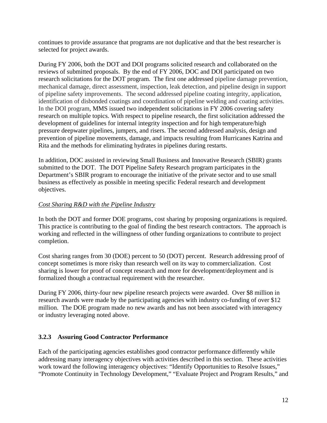continues to provide assurance that programs are not duplicative and that the best researcher is selected for project awards.

During FY 2006, both the DOT and DOI programs solicited research and collaborated on the reviews of submitted proposals. By the end of FY 2006, DOC and DOI participated on two research solicitations for the DOT program. The first one addressed pipeline damage prevention, mechanical damage, direct assessment, inspection, leak detection, and pipeline design in support of pipeline safety improvements. The second addressed pipeline coating integrity, application, identification of disbonded coatings and coordination of pipeline welding and coating activities. In the DOI program, MMS issued two independent solicitations in FY 2006 covering safety research on multiple topics. With respect to pipeline research, the first solicitation addressed the development of guidelines for internal integrity inspection and for high temperature/high pressure deepwater pipelines, jumpers, and risers. The second addressed analysis, design and prevention of pipeline movements, damage, and impacts resulting from Hurricanes Katrina and Rita and the methods for eliminating hydrates in pipelines during restarts.

In addition, DOC assisted in reviewing Small Business and Innovative Research (SBIR) grants submitted to the DOT. The DOT Pipeline Safety Research program participates in the Department's SBIR program to encourage the initiative of the private sector and to use small business as effectively as possible in meeting specific Federal research and development objectives.

# *Cost Sharing R&D with the Pipeline Industry*

In both the DOT and former DOE programs, cost sharing by proposing organizations is required. This practice is contributing to the goal of finding the best research contractors. The approach is working and reflected in the willingness of other funding organizations to contribute to project completion.

Cost sharing ranges from 30 (DOE) percent to 50 (DOT) percent. Research addressing proof of concept sometimes is more risky than research well on its way to commercialization. Cost sharing is lower for proof of concept research and more for development/deployment and is formalized though a contractual requirement with the researcher.

During FY 2006, thirty-four new pipeline research projects were awarded. Over \$8 million in research awards were made by the participating agencies with industry co-funding of over \$12 million. The DOE program made no new awards and has not been associated with interagency or industry leveraging noted above.

# **3.2.3 Assuring Good Contractor Performance**

Each of the participating agencies establishes good contractor performance differently while addressing many interagency objectives with activities described in this section. These activities work toward the following interagency objectives: "Identify Opportunities to Resolve Issues," "Promote Continuity in Technology Development," "Evaluate Project and Program Results," and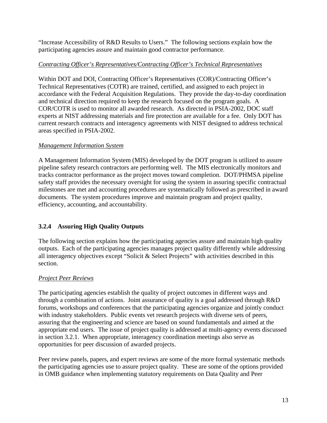"Increase Accessibility of R&D Results to Users." The following sections explain how the participating agencies assure and maintain good contractor performance.

# *Contracting Officer's Representatives/Contracting Officer's Technical Representatives*

Within DOT and DOI, Contracting Officer's Representatives (COR)/Contracting Officer's Technical Representatives (COTR) are trained, certified, and assigned to each project in accordance with the Federal Acquisition Regulations. They provide the day-to-day coordination and technical direction required to keep the research focused on the program goals. A COR/COTR is used to monitor all awarded research. As directed in PSIA-2002, DOC staff experts at NIST addressing materials and fire protection are available for a fee. Only DOT has current research contracts and interagency agreements with NIST designed to address technical areas specified in PSIA-2002.

# *Management Information System*

A Management Information System (MIS) developed by the DOT program is utilized to assure pipeline safety research contractors are performing well. The MIS electronically monitors and tracks contractor performance as the project moves toward completion. DOT/PHMSA pipeline safety staff provides the necessary oversight for using the system in assuring specific contractual milestones are met and accounting procedures are systematically followed as prescribed in award documents. The system procedures improve and maintain program and project quality, efficiency, accounting, and accountability.

# **3.2.4 Assuring High Quality Outputs**

The following section explains how the participating agencies assure and maintain high quality outputs. Each of the participating agencies manages project quality differently while addressing all interagency objectives except "Solicit & Select Projects" with activities described in this section.

# *Project Peer Reviews*

The participating agencies establish the quality of project outcomes in different ways and through a combination of actions. Joint assurance of quality is a goal addressed through R&D forums, workshops and conferences that the participating agencies organize and jointly conduct with industry stakeholders. Public events vet research projects with diverse sets of peers, assuring that the engineering and science are based on sound fundamentals and aimed at the appropriate end users. The issue of project quality is addressed at multi-agency events discussed in section 3.2.1. When appropriate, interagency coordination meetings also serve as opportunities for peer discussion of awarded projects.

Peer review panels, papers, and expert reviews are some of the more formal systematic methods the participating agencies use to assure project quality. These are some of the options provided in OMB guidance when implementing statutory requirements on Data Quality and Peer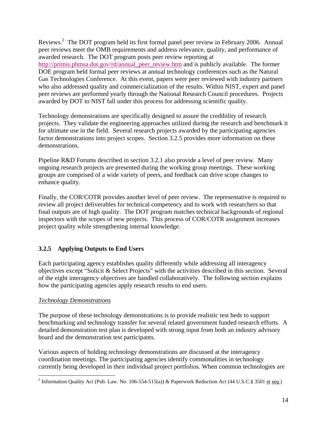Reviews.<sup>2</sup> The DOT program held its first formal panel peer review in February 2006. Annual peer reviews meet the OMB requirements and address relevance, quality, and performance of awarded research. The DOT program posts peer review reporting at http://primis.phmsa.dot.gov/rd/annual\_peer\_review.htm and is publicly available. The former DOE program held formal peer reviews at annual technology conferences such as the Natural Gas Technologies Conference. At this event, papers were peer reviewed with industry partners who also addressed quality and commercialization of the results. Within NIST, expert and panel peer reviews are performed yearly through the National Research Council procedures. Projects awarded by DOT to NIST fall under this process for addressing scientific quality.

Technology demonstrations are specifically designed to assure the credibility of research projects. They validate the engineering approaches utilized during the research and benchmark it for ultimate use in the field. Several research projects awarded by the participating agencies factor demonstrations into project scopes. Section 3.2.5 provides more information on these demonstrations.

Pipeline R&D Forums described in section 3.2.1 also provide a level of peer review. Many ongoing research projects are presented during the working group meetings. These working groups are comprised of a wide variety of peers, and feedback can drive scope changes to enhance quality.

Finally, the COR/COTR provides another level of peer review. The representative is required to review all project deliverables for technical competency and to work with researchers so that final outputs are of high quality. The DOT program matches technical backgrounds of regional inspectors with the scopes of new projects. This process of COR/COTR assignment increases project quality while strengthening internal knowledge.

# **3.2.5 Applying Outputs to End Users**

Each participating agency establishes quality differently while addressing all interagency objectives except "Solicit & Select Projects" with the activities described in this section. Several of the eight interagency objectives are handled collaboratively. The following section explains how the participating agencies apply research results to end users.

# *Technology Demonstrations*

The purpose of these technology demonstrations is to provide realistic test beds to support benchmarking and technology transfer for several related government funded research efforts. A detailed demonstration test plan is developed with strong input from both an industry advisory board and the demonstration test participants.

Various aspects of holding technology demonstrations are discussed at the interagency coordination meetings. The participating agencies identify commonalities in technology currently being developed in their individual project portfolios. When common technologies are

<sup>&</sup>lt;sup>2</sup> Information Quality Act (Pub. Law. No. 106-554-515(a)) & Paperwork Reduction Act (44 U.S.C.§ 3501 <u>et seq</u>.)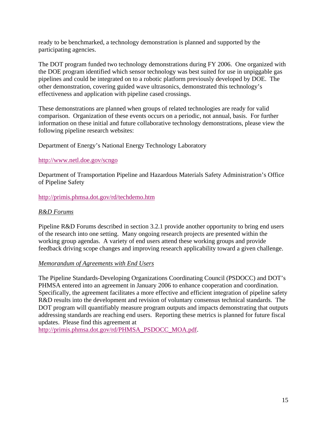ready to be benchmarked, a technology demonstration is planned and supported by the participating agencies.

The DOT program funded two technology demonstrations during FY 2006. One organized with the DOE program identified which sensor technology was best suited for use in unpiggable gas pipelines and could be integrated on to a robotic platform previously developed by DOE. The other demonstration, covering guided wave ultrasonics, demonstrated this technology's effectiveness and application with pipeline cased crossings.

These demonstrations are planned when groups of related technologies are ready for valid comparison. Organization of these events occurs on a periodic, not annual, basis. For further information on these initial and future collaborative technology demonstrations, please view the following pipeline research websites:

Department of Energy's National Energy Technology Laboratory

#### http://www.netl.doe.gov/scngo

Department of Transportation Pipeline and Hazardous Materials Safety Administration's Office of Pipeline Safety

http://primis.phmsa.dot.gov/rd/techdemo.htm

#### *R&D Forums*

Pipeline R&D Forums described in section 3.2.1 provide another opportunity to bring end users of the research into one setting. Many ongoing research projects are presented within the working group agendas. A variety of end users attend these working groups and provide feedback driving scope changes and improving research applicability toward a given challenge.

#### *Memorandum of Agreements with End Users*

The Pipeline Standards-Developing Organizations Coordinating Council (PSDOCC) and DOT's PHMSA entered into an agreement in January 2006 to enhance cooperation and coordination. Specifically, the agreement facilitates a more effective and efficient integration of pipeline safety R&D results into the development and revision of voluntary consensus technical standards. The DOT program will quantifiably measure program outputs and impacts demonstrating that outputs addressing standards are reaching end users. Reporting these metrics is planned for future fiscal updates. Please find this agreement at

http://primis.phmsa.dot.gov/rd/PHMSA\_PSDOCC\_MOA.pdf.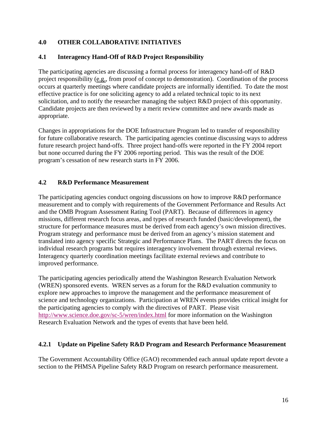# **4.0 OTHER COLLABORATIVE INITIATIVES**

# **4.1 Interagency Hand-Off of R&D Project Responsibility**

The participating agencies are discussing a formal process for interagency hand-off of R&D project responsibility (e.g., from proof of concept to demonstration). Coordination of the process occurs at quarterly meetings where candidate projects are informally identified. To date the most effective practice is for one soliciting agency to add a related technical topic to its next solicitation, and to notify the researcher managing the subject R&D project of this opportunity. Candidate projects are then reviewed by a merit review committee and new awards made as appropriate.

Changes in appropriations for the DOE Infrastructure Program led to transfer of responsibility for future collaborative research. The participating agencies continue discussing ways to address future research project hand-offs. Three project hand-offs were reported in the FY 2004 report but none occurred during the FY 2006 reporting period. This was the result of the DOE program's cessation of new research starts in FY 2006.

# **4.2 R&D Performance Measurement**

The participating agencies conduct ongoing discussions on how to improve R&D performance measurement and to comply with requirements of the Government Performance and Results Act and the OMB Program Assessment Rating Tool (PART). Because of differences in agency missions, different research focus areas, and types of research funded (basic/development), the structure for performance measures must be derived from each agency's own mission directives. Program strategy and performance must be derived from an agency's mission statement and translated into agency specific Strategic and Performance Plans. The PART directs the focus on individual research programs but requires interagency involvement through external reviews. Interagency quarterly coordination meetings facilitate external reviews and contribute to improved performance.

The participating agencies periodically attend the Washington Research Evaluation Network (WREN) sponsored events. WREN serves as a forum for the R&D evaluation community to explore new approaches to improve the management and the performance measurement of science and technology organizations. Participation at WREN events provides critical insight for the participating agencies to comply with the directives of PART. Please visit http://www.science.doe.gov/sc-5/wren/index.html for more information on the Washington Research Evaluation Network and the types of events that have been held.

# **4.2.1 Update on Pipeline Safety R&D Program and Research Performance Measurement**

The Government Accountability Office (GAO) recommended each annual update report devote a section to the PHMSA Pipeline Safety R&D Program on research performance measurement.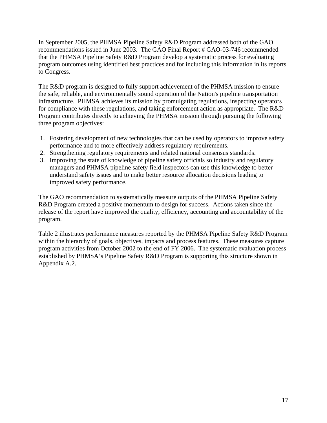In September 2005, the PHMSA Pipeline Safety R&D Program addressed both of the GAO recommendations issued in June 2003. The GAO Final Report # GAO-03-746 recommended that the PHMSA Pipeline Safety R&D Program develop a systematic process for evaluating program outcomes using identified best practices and for including this information in its reports to Congress.

The R&D program is designed to fully support achievement of the PHMSA mission to ensure the safe, reliable, and environmentally sound operation of the Nation's pipeline transportation infrastructure. PHMSA achieves its mission by promulgating regulations, inspecting operators for compliance with these regulations, and taking enforcement action as appropriate. The R&D Program contributes directly to achieving the PHMSA mission through pursuing the following three program objectives:

- 1. Fostering development of new technologies that can be used by operators to improve safety performance and to more effectively address regulatory requirements.
- 2. Strengthening regulatory requirements and related national consensus standards.
- 3. Improving the state of knowledge of pipeline safety officials so industry and regulatory managers and PHMSA pipeline safety field inspectors can use this knowledge to better understand safety issues and to make better resource allocation decisions leading to improved safety performance.

The GAO recommendation to systematically measure outputs of the PHMSA Pipeline Safety R&D Program created a positive momentum to design for success. Actions taken since the release of the report have improved the quality, efficiency, accounting and accountability of the program.

Table 2 illustrates performance measures reported by the PHMSA Pipeline Safety R&D Program within the hierarchy of goals, objectives, impacts and process features. These measures capture program activities from October 2002 to the end of FY 2006. The systematic evaluation process established by PHMSA's Pipeline Safety R&D Program is supporting this structure shown in Appendix A.2.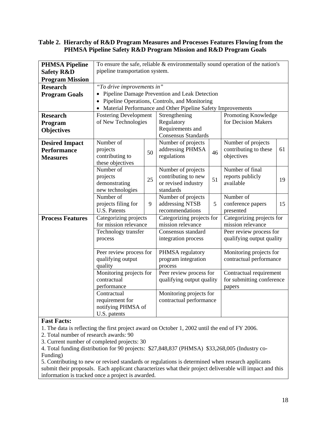#### **Table 2. Hierarchy of R&D Program Measures and Processes Features Flowing from the PHMSA Pipeline Safety R&D Program Mission and R&D Program Goals**

| <b>PHMSA Pipeline</b>   | To ensure the safe, reliable $&$ environmentally sound operation of the nation's |                         |                                                               |                         |                           |    |
|-------------------------|----------------------------------------------------------------------------------|-------------------------|---------------------------------------------------------------|-------------------------|---------------------------|----|
| <b>Safety R&amp;D</b>   | pipeline transportation system.                                                  |                         |                                                               |                         |                           |    |
| <b>Program Mission</b>  |                                                                                  |                         |                                                               |                         |                           |    |
| <b>Research</b>         | "To drive improvements in"                                                       |                         |                                                               |                         |                           |    |
| <b>Program Goals</b>    |                                                                                  |                         | • Pipeline Damage Prevention and Leak Detection               |                         |                           |    |
|                         |                                                                                  |                         | Pipeline Operations, Controls, and Monitoring                 |                         |                           |    |
|                         |                                                                                  |                         | • Material Performance and Other Pipeline Safety Improvements |                         |                           |    |
| <b>Research</b>         | Promoting Knowledge<br><b>Fostering Development</b><br>Strengthening             |                         |                                                               |                         |                           |    |
| Program                 | of New Technologies                                                              |                         | Regulatory                                                    |                         | for Decision Makers       |    |
| <b>Objectives</b>       |                                                                                  |                         | Requirements and                                              |                         |                           |    |
|                         |                                                                                  |                         | <b>Consensus Standards</b>                                    |                         |                           |    |
| <b>Desired Impact</b>   | Number of                                                                        |                         | Number of projects                                            |                         | Number of projects        |    |
| <b>Performance</b>      | projects                                                                         | 50                      | addressing PHMSA                                              | 46                      | contributing to these     | 61 |
| <b>Measures</b>         | contributing to                                                                  |                         | regulations                                                   |                         | objectives                |    |
|                         | these objectives<br>Number of                                                    |                         | Number of projects                                            |                         | Number of final           |    |
|                         | projects                                                                         |                         | contributing to new                                           |                         | reports publicly          |    |
|                         | demonstrating                                                                    | 25                      | or revised industry                                           | 51                      | available                 | 19 |
|                         | new technologies                                                                 |                         | standards                                                     |                         |                           |    |
|                         | Number of                                                                        |                         | Number of projects                                            |                         | Number of                 |    |
|                         | projects filing for                                                              | 9                       | addressing NTSB                                               | 5                       | conference papers         | 15 |
|                         | <b>U.S. Patents</b>                                                              |                         | recommendations                                               |                         | presented                 |    |
| <b>Process Features</b> | Categorizing projects                                                            |                         | Categorizing projects for<br>Categorizing projects for        |                         |                           |    |
|                         | for mission relevance                                                            |                         | mission relevance                                             |                         | mission relevance         |    |
|                         | Technology transfer                                                              |                         | Consensus standard                                            |                         | Peer review process for   |    |
|                         | process                                                                          |                         | integration process                                           |                         | qualifying output quality |    |
|                         | Peer review process for                                                          |                         | PHMSA regulatory                                              | Monitoring projects for |                           |    |
| qualifying output       |                                                                                  |                         | program integration                                           |                         | contractual performance   |    |
|                         | quality                                                                          |                         | process                                                       |                         |                           |    |
|                         | Monitoring projects for                                                          |                         | Peer review process for                                       |                         | Contractual requirement   |    |
|                         | contractual                                                                      |                         | qualifying output quality                                     |                         | for submitting conference |    |
|                         | performance                                                                      |                         |                                                               |                         | papers                    |    |
|                         | Contractual                                                                      |                         | Monitoring projects for                                       |                         |                           |    |
|                         | requirement for                                                                  | contractual performance |                                                               |                         |                           |    |
|                         | notifying PHMSA of                                                               |                         |                                                               |                         |                           |    |
|                         | U.S. patents                                                                     |                         |                                                               |                         |                           |    |

#### **Fast Facts:**

1. The data is reflecting the first project award on October 1, 2002 until the end of FY 2006.

2. Total number of research awards: 90

3. Current number of completed projects: 30

4. Total funding distribution for 90 projects: \$27,848,837 (PHMSA) \$33,268,005 (Industry co-Funding)

5. Contributing to new or revised standards or regulations is determined when research applicants submit their proposals. Each applicant characterizes what their project deliverable will impact and this information is tracked once a project is awarded.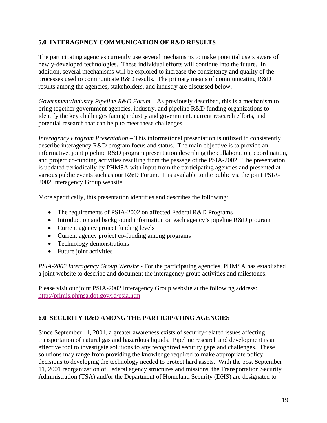# **5.0 INTERAGENCY COMMUNICATION OF R&D RESULTS**

The participating agencies currently use several mechanisms to make potential users aware of newly-developed technologies. These individual efforts will continue into the future. In addition, several mechanisms will be explored to increase the consistency and quality of the processes used to communicate R&D results. The primary means of communicating R&D results among the agencies, stakeholders, and industry are discussed below.

*Government/Industry Pipeline R&D Forum* – As previously described, this is a mechanism to bring together government agencies, industry, and pipeline R&D funding organizations to identify the key challenges facing industry and government, current research efforts, and potential research that can help to meet these challenges.

*Interagency Program Presentation* – This informational presentation is utilized to consistently describe interagency R&D program focus and status. The main objective is to provide an informative, joint pipeline R&D program presentation describing the collaboration, coordination, and project co-funding activities resulting from the passage of the PSIA-2002. The presentation is updated periodically by PHMSA with input from the participating agencies and presented at various public events such as our R&D Forum. It is available to the public via the joint PSIA-2002 Interagency Group website.

More specifically, this presentation identifies and describes the following:

- The requirements of PSIA-2002 on affected Federal R&D Programs
- Introduction and background information on each agency's pipeline R&D program
- Current agency project funding levels
- Current agency project co-funding among programs
- Technology demonstrations
- Future joint activities

*PSIA-2002 Interagency Group Website* - For the participating agencies, PHMSA has established a joint website to describe and document the interagency group activities and milestones.

Please visit our joint PSIA-2002 Interagency Group website at the following address: http://primis.phmsa.dot.gov/rd/psia.htm

# **6.0 SECURITY R&D AMONG THE PARTICIPATING AGENCIES**

Since September 11, 2001, a greater awareness exists of security-related issues affecting transportation of natural gas and hazardous liquids. Pipeline research and development is an effective tool to investigate solutions to any recognized security gaps and challenges. These solutions may range from providing the knowledge required to make appropriate policy decisions to developing the technology needed to protect hard assets. With the post September 11, 2001 reorganization of Federal agency structures and missions, the Transportation Security Administration (TSA) and/or the Department of Homeland Security (DHS) are designated to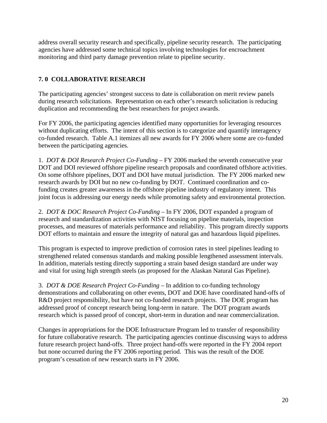address overall security research and specifically, pipeline security research. The participating agencies have addressed some technical topics involving technologies for encroachment monitoring and third party damage prevention relate to pipeline security.

# **7. 0 COLLABORATIVE RESEARCH**

The participating agencies' strongest success to date is collaboration on merit review panels during research solicitations. Representation on each other's research solicitation is reducing duplication and recommending the best researchers for project awards.

For FY 2006, the participating agencies identified many opportunities for leveraging resources without duplicating efforts. The intent of this section is to categorize and quantify interagency co-funded research. Table A.1 itemizes all new awards for FY 2006 where some are co-funded between the participating agencies.

1. *DOT & DOI Research Project Co-Funding* – FY 2006 marked the seventh consecutive year DOT and DOI reviewed offshore pipeline research proposals and coordinated offshore activities. On some offshore pipelines, DOT and DOI have mutual jurisdiction. The FY 2006 marked new research awards by DOI but no new co-funding by DOT. Continued coordination and cofunding creates greater awareness in the offshore pipeline industry of regulatory intent. This joint focus is addressing our energy needs while promoting safety and environmental protection.

2. *DOT & DOC Research Project Co-Funding –* In FY 2006, DOT expanded a program of research and standardization activities with NIST focusing on pipeline materials, inspection processes, and measures of materials performance and reliability. This program directly supports DOT efforts to maintain and ensure the integrity of natural gas and hazardous liquid pipelines.

This program is expected to improve prediction of corrosion rates in steel pipelines leading to strengthened related consensus standards and making possible lengthened assessment intervals. In addition, materials testing directly supporting a strain based design standard are under way and vital for using high strength steels (as proposed for the Alaskan Natural Gas Pipeline).

3. *DOT & DOE Research Project Co-Funding –* In addition to co-funding technology demonstrations and collaborating on other events, DOT and DOE have coordinated hand-offs of R&D project responsibility, but have not co-funded research projects. The DOE program has addressed proof of concept research being long-term in nature. The DOT program awards research which is passed proof of concept, short-term in duration and near commercialization.

Changes in appropriations for the DOE Infrastructure Program led to transfer of responsibility for future collaborative research. The participating agencies continue discussing ways to address future research project hand-offs. Three project hand-offs were reported in the FY 2004 report but none occurred during the FY 2006 reporting period. This was the result of the DOE program's cessation of new research starts in FY 2006.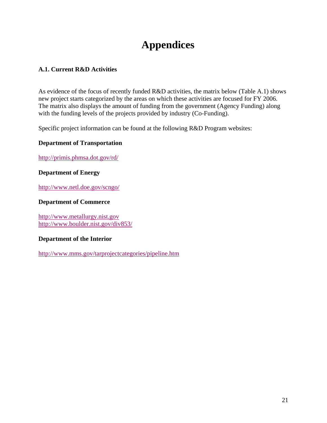# **Appendices**

# **A.1. Current R&D Activities**

As evidence of the focus of recently funded R&D activities, the matrix below (Table A.1) shows new project starts categorized by the areas on which these activities are focused for FY 2006. The matrix also displays the amount of funding from the government (Agency Funding) along with the funding levels of the projects provided by industry (Co-Funding).

Specific project information can be found at the following R&D Program websites:

# **Department of Transportation**

http://primis.phmsa.dot.gov/rd/

#### **Department of Energy**

http://www.netl.doe.gov/scngo/

#### **Department of Commerce**

http://www.metallurgy.nist.gov http://www.boulder.nist.gov/div853/

# **Department of the Interior**

http://www.mms.gov/tarprojectcategories/pipeline.htm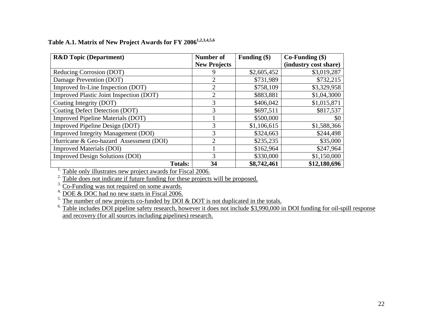| <b>R&amp;D</b> Topic (Department)                                              | <b>Number of</b>    | Funding (\$) | $Co-Funding (§)$      |  |
|--------------------------------------------------------------------------------|---------------------|--------------|-----------------------|--|
|                                                                                | <b>New Projects</b> |              | (industry cost share) |  |
| Reducing Corrosion (DOT)                                                       |                     | \$2,605,452  | \$3,019,287           |  |
| Damage Prevention (DOT)                                                        | 2                   | \$731,989    | \$732,215             |  |
| Improved In-Line Inspection (DOT)                                              | 2                   | \$758,109    | \$3,329,958           |  |
| Improved Plastic Joint Inspection (DOT)                                        | 2                   | \$883,881    | \$1,04,3000           |  |
| Coating Integrity (DOT)                                                        | 3                   | \$406,042    | \$1,015,871           |  |
| Coating Defect Detection (DOT)                                                 | 3                   | \$697,511    | \$817,537             |  |
| <b>Improved Pipeline Materials (DOT)</b>                                       |                     | \$500,000    | \$0                   |  |
| Improved Pipeline Design (DOT)                                                 | 3                   | \$1,106,615  | \$1,588,366           |  |
| <b>Improved Integrity Management (DOI)</b>                                     | 3                   | \$324,663    | \$244,498             |  |
| Hurricane & Geo-hazard Assessment (DOI)                                        | $\overline{2}$      | \$235,235    | \$35,000              |  |
| <b>Improved Materials (DOI)</b>                                                |                     | \$162,964    | \$247,964             |  |
| <b>Improved Design Solutions (DOI)</b>                                         | 3                   | \$330,000    | \$1,150,000           |  |
| <b>Totals:</b>                                                                 | 34                  | \$8,742,461  | \$12,180,696          |  |
| Table only illustrates new project awards for Fiscal 2006.                     |                     |              |                       |  |
| Table does not indicate if future funding for these projects will be proposed. |                     |              |                       |  |

# **Table A.1. Matrix of New Project Awards for FY 20061,2,3,4,5,6**

<sup>3.</sup> Co-Funding was not required on some awards.<br>
<sup>4.</sup> DOE & DOC had no new starts in Fiscal 2006.<br>
<sup>5.</sup> The number of new projects co-funded by DOI & DOT is not duplicated in the totals.

 $6.$  Table includes DOI pipeline safety research, however it does not include \$3,990,000 in DOI funding for oil-spill response and recovery (for all sources including pipelines) research.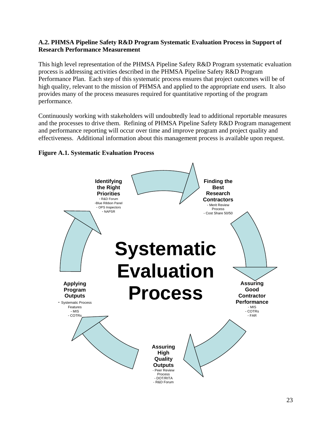# **A.2. PHMSA Pipeline Safety R&D Program Systematic Evaluation Process in Support of Research Performance Measurement**

This high level representation of the PHMSA Pipeline Safety R&D Program systematic evaluation process is addressing activities described in the PHMSA Pipeline Safety R&D Program Performance Plan. Each step of this systematic process ensures that project outcomes will be of high quality, relevant to the mission of PHMSA and applied to the appropriate end users. It also provides many of the process measures required for quantitative reporting of the program performance.

Continuously working with stakeholders will undoubtedly lead to additional reportable measures and the processes to drive them. Refining of PHMSA Pipeline Safety R&D Program management and performance reporting will occur over time and improve program and project quality and effectiveness. Additional information about this management process is available upon request.